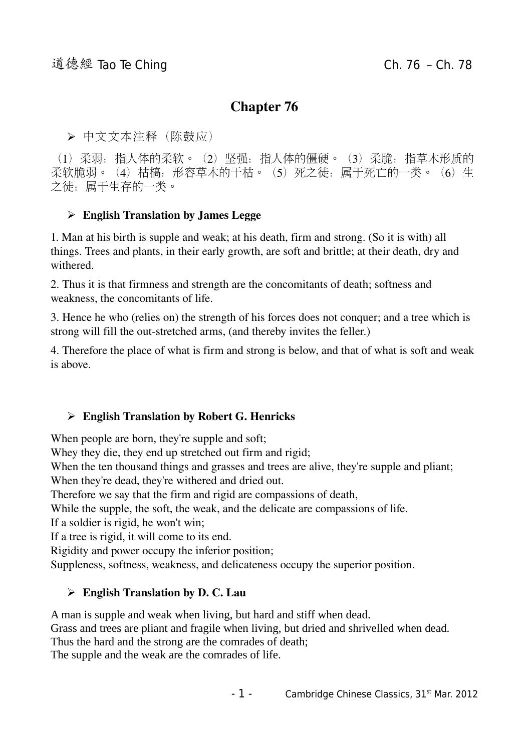## Chapter 76

➢ 中文文本注释(陈鼓应)

(1)柔弱:指人体的柔软。(2)坚强:指人体的僵硬。(3)柔脆:指草木形质的 柔软脆弱。(4)枯槁: 形容草木的干枯。(5) 死之徒: 属于死亡的一类。(6) 生 之徒:属于生存的一类。

#### $\triangleright$  English Translation by James Legge

1. Man at his birth is supple and weak; at his death, firm and strong. (So it is with) all things. Trees and plants, in their early growth, are soft and brittle; at their death, dry and withered.

2. Thus it is that firmness and strength are the concomitants of death; softness and weakness, the concomitants of life.

3. Hence he who (relies on) the strength of his forces does not conquer; and a tree which is strong will fill the out-stretched arms, (and thereby invites the feller.)

4. Therefore the place of what is firm and strong is below, and that of what is soft and weak is above.

#### ➢ English Translation by Robert G. Henricks

When people are born, they're supple and soft;

Whey they die, they end up stretched out firm and rigid;

When the ten thousand things and grasses and trees are alive, they're supple and pliant;

When they're dead, they're withered and dried out.

Therefore we say that the firm and rigid are compassions of death,

While the supple, the soft, the weak, and the delicate are compassions of life.

If a soldier is rigid, he won't win;

If a tree is rigid, it will come to its end.

Rigidity and power occupy the inferior position;

Suppleness, softness, weakness, and delicateness occupy the superior position.

#### $\triangleright$  English Translation by D. C. Lau

A man is supple and weak when living, but hard and stiff when dead. Grass and trees are pliant and fragile when living, but dried and shrivelled when dead. Thus the hard and the strong are the comrades of death; The supple and the weak are the comrades of life.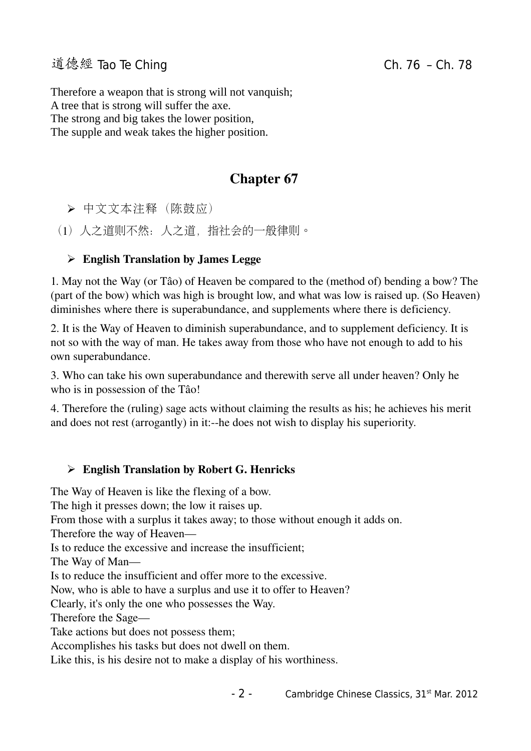Therefore a weapon that is strong will not vanquish; A tree that is strong will suffer the axe. The strong and big takes the lower position, The supple and weak takes the higher position.

# Chapter 67

➢ 中文文本注释(陈鼓应)

(1)人之道则不然:人之道,指社会的一般律则。

### $\triangleright$  English Translation by James Legge

1. May not the Way (or Tâo) of Heaven be compared to the (method of) bending a bow? The (part of the bow) which was high is brought low, and what was low is raised up. (So Heaven) diminishes where there is superabundance, and supplements where there is deficiency.

2. It is the Way of Heaven to diminish superabundance, and to supplement deficiency. It is not so with the way of man. He takes away from those who have not enough to add to his own superabundance.

3. Who can take his own superabundance and therewith serve all under heaven? Only he who is in possession of the Tâo!

4. Therefore the (ruling) sage acts without claiming the results as his; he achieves his merit and does not rest (arrogantly) in it:-he does not wish to display his superiority.

#### ➢ English Translation by Robert G. Henricks

The Way of Heaven is like the flexing of a bow.

The high it presses down; the low it raises up.

From those with a surplus it takes away; to those without enough it adds on.

Therefore the way of Heaven—

Is to reduce the excessive and increase the insufficient;

The Way of Man—

Is to reduce the insufficient and offer more to the excessive.

Now, who is able to have a surplus and use it to offer to Heaven?

Clearly, it's only the one who possesses the Way.

Therefore the Sage—

Take actions but does not possess them;

Accomplishes his tasks but does not dwell on them.

Like this, is his desire not to make a display of his worthiness.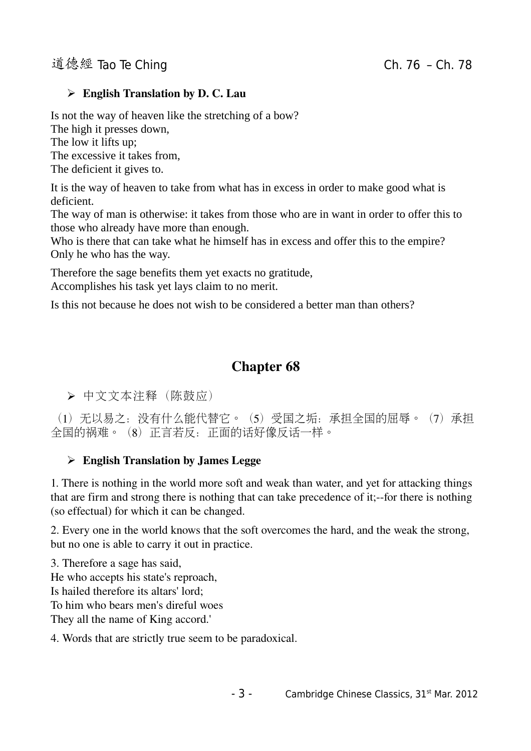#### $\triangleright$  English Translation by D. C. Lau

Is not the way of heaven like the stretching of a bow? The high it presses down, The low it lifts up; The excessive it takes from, The deficient it gives to.

It is the way of heaven to take from what has in excess in order to make good what is deficient.

The way of man is otherwise: it takes from those who are in want in order to offer this to those who already have more than enough.

Who is there that can take what he himself has in excess and offer this to the empire? Only he who has the way.

Therefore the sage benefits them yet exacts no gratitude, Accomplishes his task yet lays claim to no merit.

Is this not because he does not wish to be considered a better man than others?

# Chapter 68

➢ 中文文本注释(陈鼓应)

(1)无以易之:没有什么能代替它。(5)受国之垢:承担全国的屈辱。(7)承担 全国的祸难。(8)正言若反:正面的话好像反话一样。

#### $\triangleright$  English Translation by James Legge

1. There is nothing in the world more soft and weak than water, and yet for attacking things that are firm and strong there is nothing that can take precedence of it;-for there is nothing (so effectual) for which it can be changed.

2. Every one in the world knows that the soft overcomes the hard, and the weak the strong, but no one is able to carry it out in practice.

3. Therefore a sage has said, He who accepts his state's reproach, Is hailed therefore its altars' lord; To him who bears men's direful woes They all the name of King accord.'

4. Words that are strictly true seem to be paradoxical.